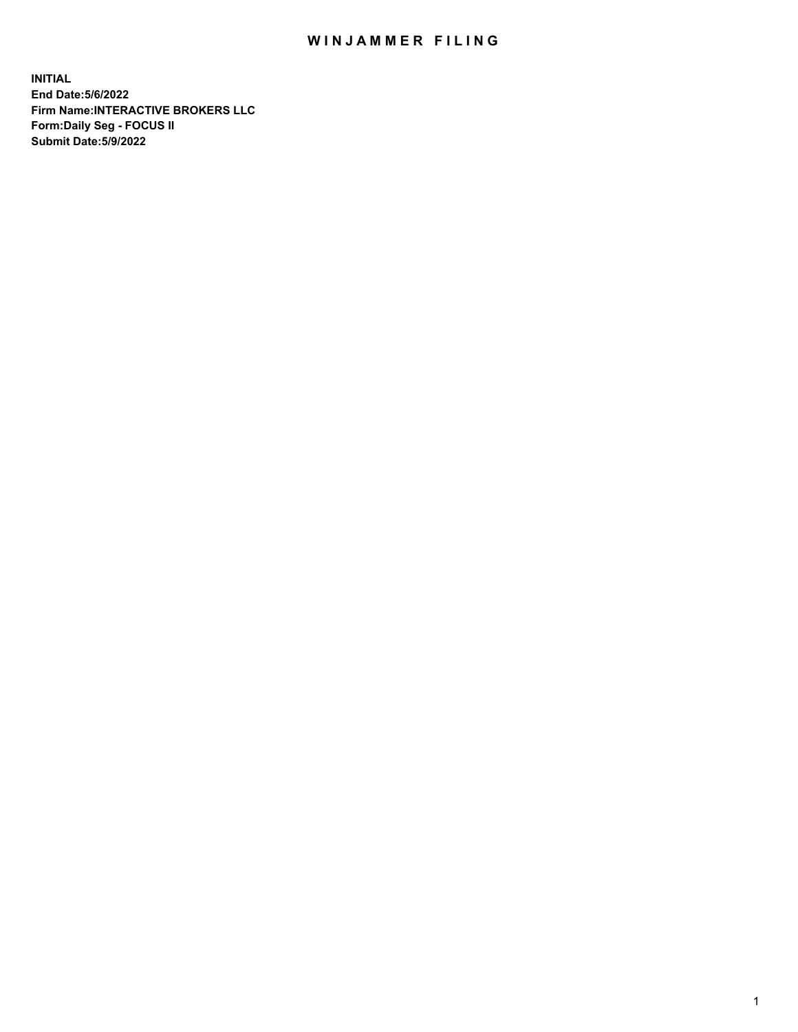## WIN JAMMER FILING

**INITIAL End Date:5/6/2022 Firm Name:INTERACTIVE BROKERS LLC Form:Daily Seg - FOCUS II Submit Date:5/9/2022**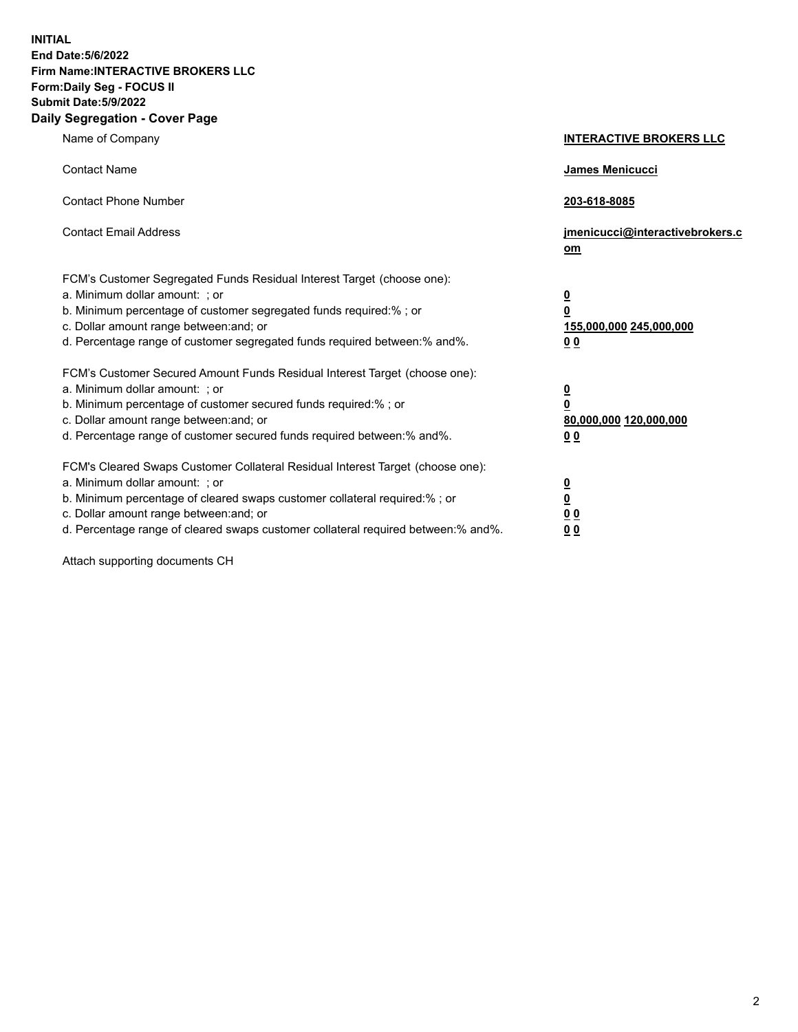**INITIAL End Date:5/6/2022 Firm Name:INTERACTIVE BROKERS LLC Form:Daily Seg - FOCUS II Submit Date:5/9/2022 Daily Segregation - Cover Page**

| Name of Company                                                                                                                                                                                                                                                                                                                | <b>INTERACTIVE BROKERS LLC</b>                                                                 |
|--------------------------------------------------------------------------------------------------------------------------------------------------------------------------------------------------------------------------------------------------------------------------------------------------------------------------------|------------------------------------------------------------------------------------------------|
| <b>Contact Name</b>                                                                                                                                                                                                                                                                                                            | James Menicucci                                                                                |
| <b>Contact Phone Number</b>                                                                                                                                                                                                                                                                                                    | 203-618-8085                                                                                   |
| <b>Contact Email Address</b>                                                                                                                                                                                                                                                                                                   | jmenicucci@interactivebrokers.c<br>om                                                          |
| FCM's Customer Segregated Funds Residual Interest Target (choose one):<br>a. Minimum dollar amount: ; or<br>b. Minimum percentage of customer segregated funds required:%; or<br>c. Dollar amount range between: and; or<br>d. Percentage range of customer segregated funds required between:% and%.                          | $\overline{\mathbf{0}}$<br>$\overline{\mathbf{0}}$<br>155,000,000 245,000,000<br>00            |
| FCM's Customer Secured Amount Funds Residual Interest Target (choose one):<br>a. Minimum dollar amount: ; or<br>b. Minimum percentage of customer secured funds required:% ; or<br>c. Dollar amount range between: and; or<br>d. Percentage range of customer secured funds required between:% and%.                           | $\overline{\mathbf{0}}$<br>$\overline{\mathbf{0}}$<br>80,000,000 120,000,000<br>0 <sub>0</sub> |
| FCM's Cleared Swaps Customer Collateral Residual Interest Target (choose one):<br>a. Minimum dollar amount: ; or<br>b. Minimum percentage of cleared swaps customer collateral required:% ; or<br>c. Dollar amount range between: and; or<br>d. Percentage range of cleared swaps customer collateral required between:% and%. | <u>0</u><br><u>0</u><br>0 <sub>0</sub><br>0 <sub>0</sub>                                       |

Attach supporting documents CH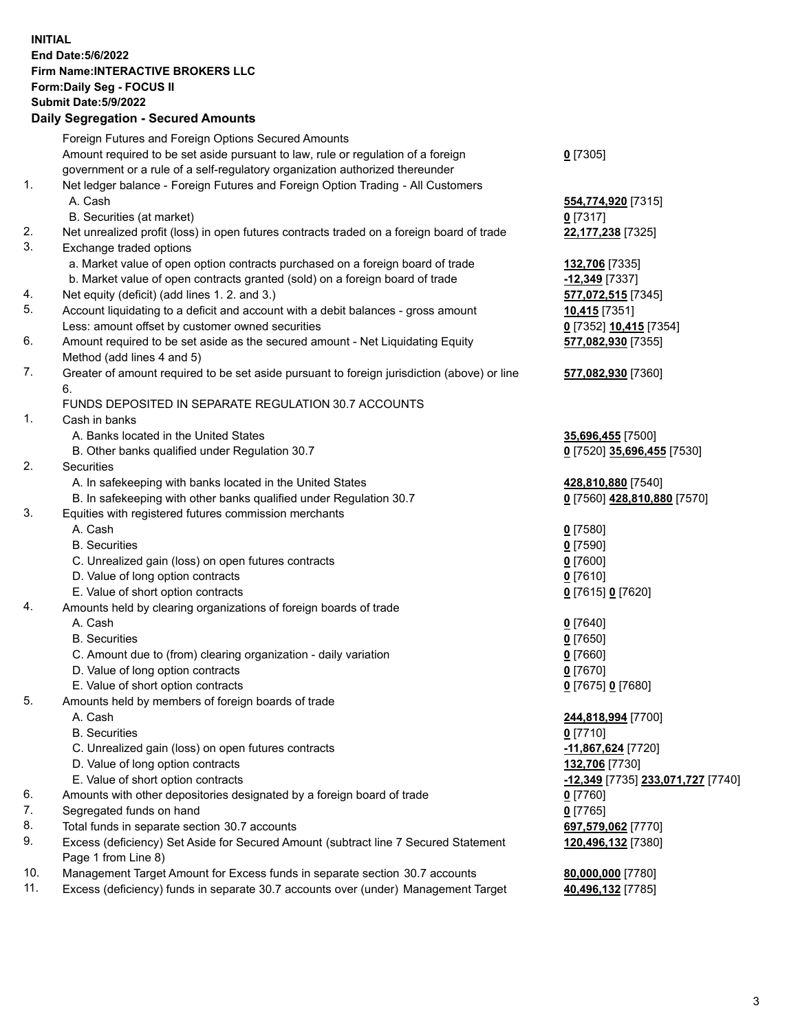**INITIAL End Date:5/6/2022 Firm Name:INTERACTIVE BROKERS LLC Form:Daily Seg - FOCUS II Submit Date:5/9/2022 Daily Segregation - Secured Amounts**

|     | Foreign Futures and Foreign Options Secured Amounts                                         |                                   |
|-----|---------------------------------------------------------------------------------------------|-----------------------------------|
|     | Amount required to be set aside pursuant to law, rule or regulation of a foreign            | $0$ [7305]                        |
|     | government or a rule of a self-regulatory organization authorized thereunder                |                                   |
| 1.  | Net ledger balance - Foreign Futures and Foreign Option Trading - All Customers             |                                   |
|     | A. Cash                                                                                     | 554,774,920 [7315]                |
|     | B. Securities (at market)                                                                   | $0$ [7317]                        |
| 2.  | Net unrealized profit (loss) in open futures contracts traded on a foreign board of trade   | 22,177,238 [7325]                 |
| 3.  | Exchange traded options                                                                     |                                   |
|     | a. Market value of open option contracts purchased on a foreign board of trade              | 132,706 [7335]                    |
|     | b. Market value of open contracts granted (sold) on a foreign board of trade                | -12,349 [7337]                    |
| 4.  | Net equity (deficit) (add lines 1. 2. and 3.)                                               | 577,072,515 [7345]                |
| 5.  | Account liquidating to a deficit and account with a debit balances - gross amount           | 10,415 [7351]                     |
|     | Less: amount offset by customer owned securities                                            | 0 [7352] 10,415 [7354]            |
| 6.  | Amount required to be set aside as the secured amount - Net Liquidating Equity              | 577,082,930 [7355]                |
|     | Method (add lines 4 and 5)                                                                  |                                   |
| 7.  | Greater of amount required to be set aside pursuant to foreign jurisdiction (above) or line | 577,082,930 [7360]                |
|     | 6.                                                                                          |                                   |
|     | FUNDS DEPOSITED IN SEPARATE REGULATION 30.7 ACCOUNTS                                        |                                   |
| 1.  | Cash in banks                                                                               |                                   |
|     | A. Banks located in the United States                                                       | 35,696,455 [7500]                 |
|     | B. Other banks qualified under Regulation 30.7                                              | 0 [7520] 35,696,455 [7530]        |
| 2.  | Securities                                                                                  |                                   |
|     | A. In safekeeping with banks located in the United States                                   | 428,810,880 [7540]                |
|     | B. In safekeeping with other banks qualified under Regulation 30.7                          | 0 [7560] 428,810,880 [7570]       |
| 3.  | Equities with registered futures commission merchants                                       |                                   |
|     | A. Cash                                                                                     | $0$ [7580]                        |
|     | <b>B.</b> Securities                                                                        | $0$ [7590]                        |
|     | C. Unrealized gain (loss) on open futures contracts                                         | $0$ [7600]                        |
|     | D. Value of long option contracts                                                           | $0$ [7610]                        |
|     | E. Value of short option contracts                                                          | 0 [7615] 0 [7620]                 |
| 4.  | Amounts held by clearing organizations of foreign boards of trade                           |                                   |
|     | A. Cash                                                                                     | $0$ [7640]                        |
|     | <b>B.</b> Securities                                                                        | $0$ [7650]                        |
|     | C. Amount due to (from) clearing organization - daily variation                             | $0$ [7660]                        |
|     | D. Value of long option contracts                                                           | $0$ [7670]                        |
|     | E. Value of short option contracts                                                          | 0 [7675] 0 [7680]                 |
| 5.  | Amounts held by members of foreign boards of trade                                          |                                   |
|     | A. Cash                                                                                     | 244,818,994 [7700]                |
|     | <b>B.</b> Securities                                                                        | $0$ [7710]                        |
|     |                                                                                             |                                   |
|     | C. Unrealized gain (loss) on open futures contracts                                         | -11,867,624 <sup>[7720]</sup>     |
|     | D. Value of long option contracts                                                           | 132,706 [7730]                    |
|     | E. Value of short option contracts                                                          | -12,349 [7735] 233,071,727 [7740] |
| 6.  | Amounts with other depositories designated by a foreign board of trade                      | $0$ [7760]                        |
| 7.  | Segregated funds on hand                                                                    | $0$ [7765]                        |
| 8.  | Total funds in separate section 30.7 accounts                                               | 697,579,062 [7770]                |
| 9.  | Excess (deficiency) Set Aside for Secured Amount (subtract line 7 Secured Statement         | 120,496,132 [7380]                |
|     | Page 1 from Line 8)                                                                         |                                   |
| 10. | Management Target Amount for Excess funds in separate section 30.7 accounts                 | 80,000,000 [7780]                 |
| 11. | Excess (deficiency) funds in separate 30.7 accounts over (under) Management Target          | 40,496,132 [7785]                 |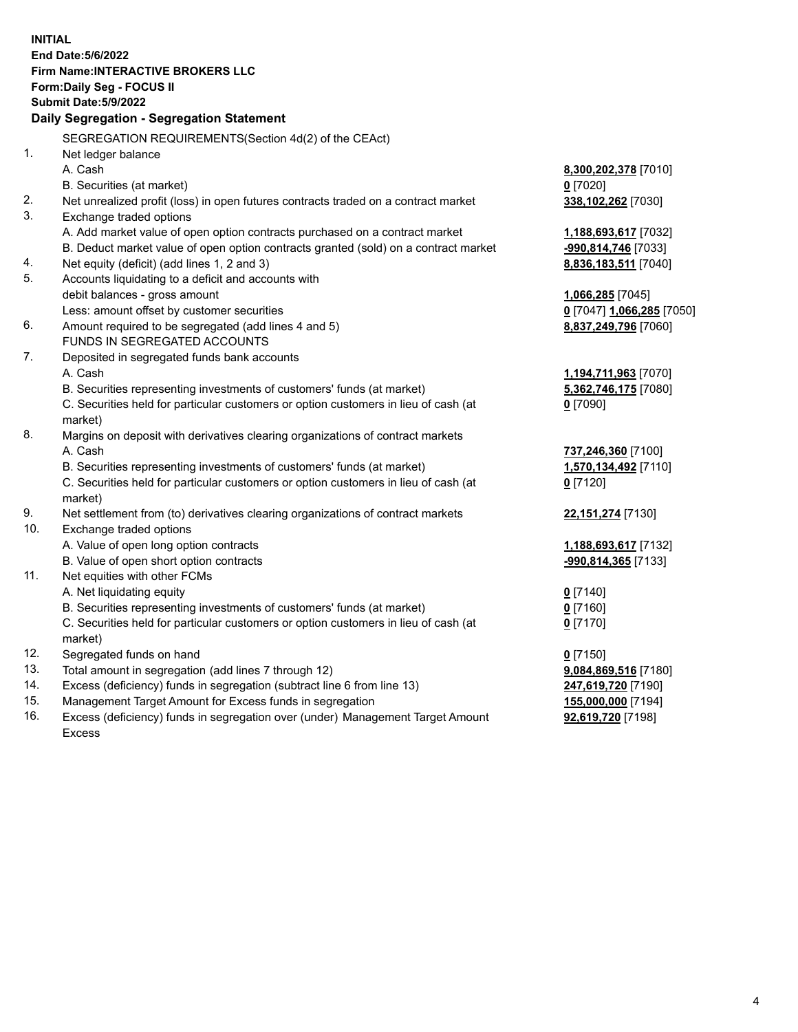**INITIAL End Date:5/6/2022 Firm Name:INTERACTIVE BROKERS LLC Form:Daily Seg - FOCUS II Submit Date:5/9/2022 Daily Segregation - Segregation Statement** SEGREGATION REQUIREMENTS(Section 4d(2) of the CEAct) 1. Net ledger balance A. Cash **8,300,202,378** [7010] B. Securities (at market) **0** [7020] 2. Net unrealized profit (loss) in open futures contracts traded on a contract market **338,102,262** [7030] 3. Exchange traded options A. Add market value of open option contracts purchased on a contract market **1,188,693,617** [7032] B. Deduct market value of open option contracts granted (sold) on a contract market **-990,814,746** [7033] 4. Net equity (deficit) (add lines 1, 2 and 3) **8,836,183,511** [7040] 5. Accounts liquidating to a deficit and accounts with debit balances - gross amount **1,066,285** [7045] Less: amount offset by customer securities **0** [7047] **1,066,285** [7050] 6. Amount required to be segregated (add lines 4 and 5) **8,837,249,796** [7060] FUNDS IN SEGREGATED ACCOUNTS 7. Deposited in segregated funds bank accounts A. Cash **1,194,711,963** [7070] B. Securities representing investments of customers' funds (at market) **5,362,746,175** [7080] C. Securities held for particular customers or option customers in lieu of cash (at market) **0** [7090] 8. Margins on deposit with derivatives clearing organizations of contract markets A. Cash **737,246,360** [7100] B. Securities representing investments of customers' funds (at market) **1,570,134,492** [7110] C. Securities held for particular customers or option customers in lieu of cash (at market) **0** [7120] 9. Net settlement from (to) derivatives clearing organizations of contract markets **22,151,274** [7130] 10. Exchange traded options A. Value of open long option contracts **1,188,693,617** [7132] B. Value of open short option contracts **-990,814,365** [7133] 11. Net equities with other FCMs A. Net liquidating equity **0** [7140] B. Securities representing investments of customers' funds (at market) **0** [7160] C. Securities held for particular customers or option customers in lieu of cash (at market) **0** [7170] 12. Segregated funds on hand **0** [7150] 13. Total amount in segregation (add lines 7 through 12) **9,084,869,516** [7180] 14. Excess (deficiency) funds in segregation (subtract line 6 from line 13) **247,619,720** [7190] 15. Management Target Amount for Excess funds in segregation **155,000,000** [7194] 16. Excess (deficiency) funds in segregation over (under) Management Target Amount **92,619,720** [7198]

Excess